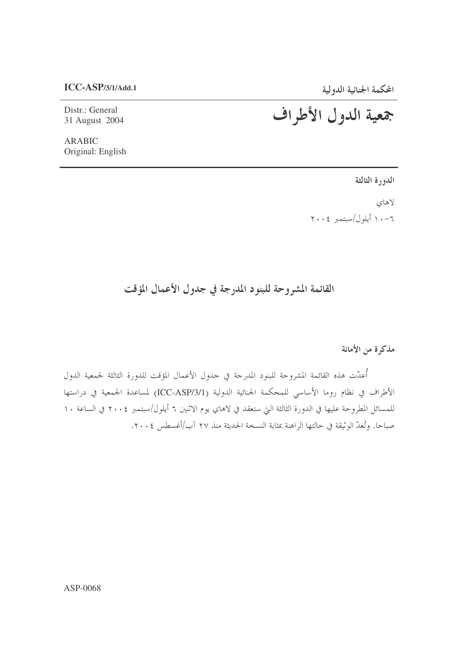## $ICC-ASP/3/1/Add.1$

Distr.: General 31 August 2004

## المحكمة الجنائية الدولية<br>جمعية اللدول الأطراف

**ARABIC** Original: English

الدورة الثالثة

لاهاى ١٠-١١ أيلول/سبتمبر ٢٠٠٤

القائمة المشروحة للبنود المدرجة في جدول الأعمال المؤقت

مذكرة من الأمانة

أُعدّت هذه القائمة المشروحة للبنود المدرجة في جدول الأعمال المؤقت للدورة الثالثة لجمعية الدول الأطراف في نظام روما الأساسي للمحكمة الجنائية الدولية (ICC-ASP/3/1) لمساعدة الجمعية في دراستها للمسائل المطروحة عليها في الدورة الثالثة التي ستعقد في لاهاي يوم الاثنين ٦ أيلول/سبتمبر ٢٠٠٤ في الساعة ١٠ صباحا. وتُعدُّ الوثيقة في حالتها الراهنة بمثابة النسخة الحديثة منذ ٢٧ آب/أغسطس ٢٠٠٤.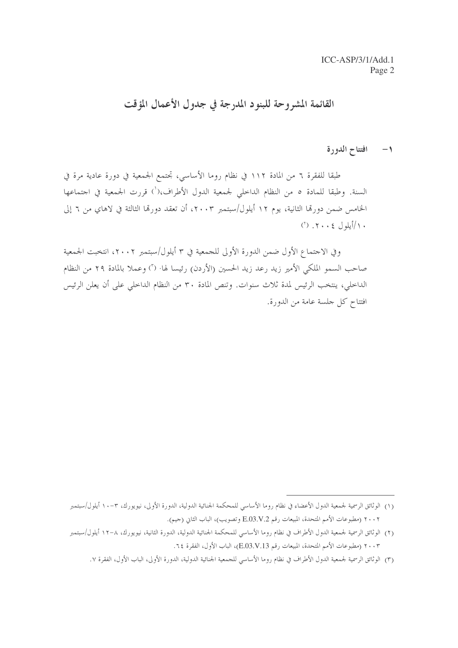القائمة المشروحة للبنود المدرجة في جدول الأعمال المؤقت

افتتاح الدورة  $-1$ 

طبقًا للفقرة ٦ من المادة ١١٢ في نظام روما الأساسي، تحتمع الجمعية في دورة عادية مرة في السنة. وطبقا للمادة ٥ من النظام الداخلي لجمعية الدول الأطراف،(`) قررت الجمعية في اجتماعها الخامس ضمن دورتما الثانية، يوم ١٢ أيلول/سبتمبر ٢٠٠٣، أن تعقد دورتما الثالثة في لاهاي من ٦ إلى  $(1)$  .  $\gamma \cdot \cdot \cdot \infty$ 

وفي الاجتماع الأول ضمن الدورة الأولى للجمعية في ٣ أيلول/سبتمبر ٢٠٠٢، انتخبت الجمعية صاحب السمو الملكي الأمير زيد رعد زيد الحسين (الأردن) رئيسا لها· (٢) وعملا بالمادة ٢٩ من النظام الداخلي، ينتخب الرئيس لمدة ثلاث سنوات. وتنص المادة ٣٠ من النظام الداخلي على أن يعلن الرئيس افتتاح كل جلسة عامة من الدورة.

<sup>(</sup>١) الوثائق الرسمية لجمعية الدول الأعضاء في نظام روما الأساسي للمحكمة الجنائية الدولية، الدورة الأولى، نيويورك، ٣-١٠ أيلول/سبتمبر ٢٠٠٢ (مطبوعات الأمم المتحدة، المبيعات رقم E.O3.V.2 وتصويب)، الباب الثاني (جيم).

<sup>(</sup>٢) الوثائق الرسمية لجمعية الدول الأطراف في نظام روما الأساسي للمحكمة الجنائية الدولية، الدورة الثانية، نيويورك، ٨-١٢ أيلول/سبتمبر ٢٠٠٣ (مطبوعات الأمم المتحدة، المبيعات , قم E.O3.V.13)، الباب الأول، الفقرة ٢٤.

<sup>(</sup>٣) الوثائق الرسمية لجمعية الدول الأطراف في نظام روما الأساسي للجمعية الجنائية الدولية، الدورة الأولى، الباب الأول، الفقرة ٧.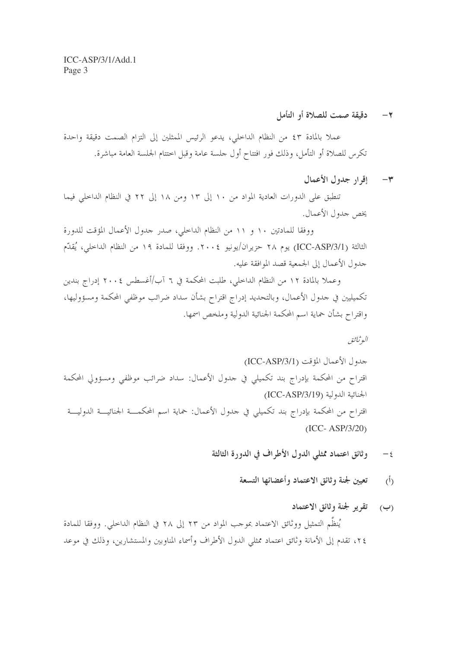دقيقة صمت للصلاة أو التأمل  $-7$ 

عملا بالمادة ٤٣ من النظام الداخلي، يدعو الرئيس الممثلين إلى التزام الصمت دقيقة واحدة تكرس للصلاة أو التأمل، وذلك فور افتتاح أول حلسة عامة وقبل اختتام الجلسة العامة مباشرة.

٣- إقرار جدول الأعمال

تنطبق على الدورات العادية المواد من ١٠ إلى ١٣ ومن ١٨ إلى ٢٢ في النظام الداخلي فيما يخص جدول الأعمال.

ووفقا للمادتين ١٠ و ١١ من النظام الداخلي، صدر حدول الأعمال المؤقت للدورة الثالثة (ICC-ASP/3/1) يوم ٢٨ حزيران/يونيو ٢٠٠٤. ووفقا للمادة ١٩ من النظام الداخلي، يُقدِّم جدول الأعمال إلى الجمعية قصد الموافقة عليه.

وعملا بالمادة ١٢ من النظام الداخلي، طلبت المحكمة في ٦ آب/أغسطس ٢٠٠٤ إدراج بندين تكميليين في حدول الأعمال، وبالتحديد إدراج اقتراح بشأن سداد ضرائب موظفي المحكمة ومسؤوليها، واقتراح بشأن حماية اسم المحكمة الجنائية الدولية وملخص اسمها.

البوثيائق

- وثائق اعتماد ممثلي الدول الأطراف في الدورة الثالثة  $-\epsilon$ 
	- تعيين لجنة وثائق الاعتماد وأعضائها التسعة  $(\dot{b})$
- (ب) تقرير لجنة وثائق الاعتماد يُنظِّم التمثيل ووثائق الاعتماد بموجب المواد من ٢٣ إلى ٢٨ في النظام الداخلي. ووفقا للمادة ٢٤، تقدم إلى الأمانة وثائق اعتماد ممثلي الدول الأطراف وأسماء المناوبين والمستشارين، وذلك في موعد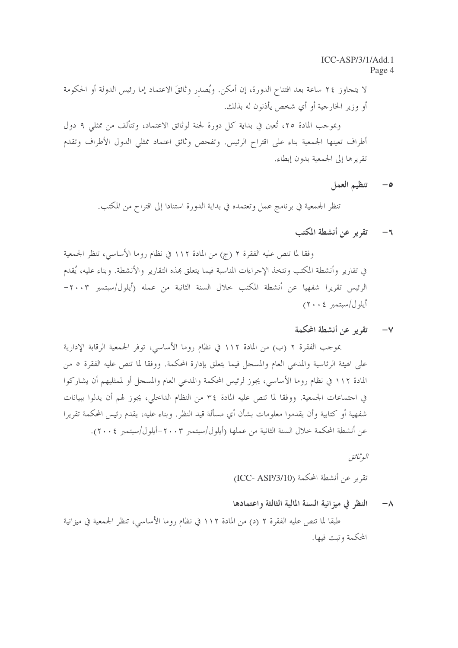لا يتجاوز ٢٤ ساعة بعد افتتاح الدورة، إن أمكن. ويُصدر وثائقَ الاعتماد إما رئيس الدولة أو الحكومة أو وزير الخارجية أو أي شخص يأذنون له بذلك.

وبموجب المادة ٢٥، تُعين في بداية كلِّ دورة لجنة لوثائق الاعتماد، وتتألَّف من ممثلي ٩ دول أطراف تعينها الجمعية بناء على اقتراح الرئيس. وتفحص وثائق اعتماد ممثلي الدول الأطراف وتقدم تقريرها إلى الجمعية بدون إبطاء.

> تنظيم العمل  $-\circ$

تنظر الجمعية في برنامج عمل وتعتمده في بداية الدورة استنادا إلى اقتراح من المكتب.

## تقرير عن أنشطة المكتب  $-7$

وفقًا لما تنص عليه الفقرة ٢ (ج) من المادة ١١٢ في نظام روما الأساسي، تنظر الجمعية في تقارير وأنشطة المكتب وتتخذ الإجراءات المناسبة فيما يتعلق بمذه التقارير والأنشطة. وبناء عليه، يُقدم الرئيس تقريرا شفهيا عن أنشطة المكتب حلال السنة الثانية من عمله (أيلول/سبتمبر ٢٠٠٣– أبلول/سيتمبر ٢٠٠٤)

٧– تقرير عن أنشطة المحكمة

بموجب الفقرة ٢ (ب) من المادة ١١٢ في نظام روما الأساسي، توفر الجمعية الرقابة الإدارية على الهيئة الرئاسية والمدعى العام والمسجل فيما يتعلق بإدارة المحكمة. ووفقا لما تنص عليه الفقرة ٥ من المادة ١١٢ في نظام روما الأساسي، يجوز لرئيس المحكمة والمدعى العام والمسجل أو لممثليهم أن يشاركوا في احتماعات الجمعية. ووفقا لما تنص عليه المادة ٣٤ من النظام الداخلي، يجوز لهم أن يدلوا ببيانات شفهية أو كتابية وأن يقدموا معلومات بشأن أي مسألة قيد النظر. وبناء عليه، يقدم رئيس المحكمة تقريرا عن أنشطة المحكمة حلال السنة الثانية من عملها (أيلول/سبتمبر ٢٠٠٣-أيلول/سبتمبر ٢٠٠٤).

البوثيائق

تقرير عن أنشطة المحكمة (ICC- ASP/3/10)

النظر في ميزانية السنة المالية الثالثة واعتمادها  $-\lambda$ 

طبقًا لما تنص عليه الفقرة ٢ (د) من المادة ١١٢ في نظام روما الأساسي، تنظر الجمعية في ميزانية المحكمة وتبت فيها.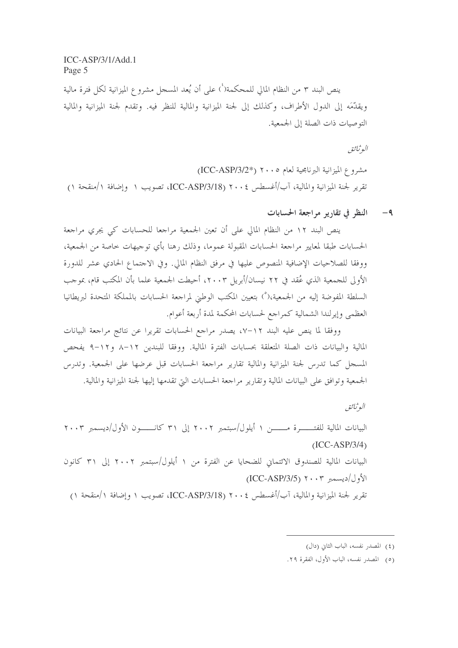ينص البند ٣ من النظام المالي للمحكمة(`) على أن يُعد المسجل مشروع الميزانية لكل فترة مالية ويقدِّمَه إلى الدول الأطراف، وكذلك إلى لجنة الميزانية والمالية للنظر فيه. وتقدم لجنة الميزانية والمالية التوصيات ذات الصلة إلى الجمعية.

البوثيائق

مشروع الميزانية البرنامجية لعام ٢٠٠٥ (\*ICC-ASP/3/2) تقرير لجنة الميزانية والمالية، آب/أغسطس ٢٠٠٤ (ICC-ASP/3/18)، تصويب ١ وإضافة ١/منقحة ١)

٩- النظر في تقارير مراجعة الحسابات

ينص البند ١٢ من النظام المالي على أن تعين الجمعية مراجعا للحسابات كي يجري مراجعة الحسابات طبقا لمعايير مراجعة الحسابات المقبولة عموما، وذلك رهنا بأي توجيهات خاصة من الجمعية، ووفقًا للصلاحيات الإضافية المنصوص عليها في مرفق النظام المالي. وفي الاجتماع الحادي عشر للدورة الأولى للجمعية الذي عُقد في ٢٢ نيسان/أبريل ٢٠٠٣، أحيطت الجمعية علما بأن المكتب قام، بموجب السلطة المفوضة إليه من الجمعية،(°) بتعيين المكتب الوطني لمراجعة الحسابات بالمملكة المتحدة لبريطانيا العظمى وإيرلندا الشمالية كمراجع لحسابات المحكمة لمدة أربعة أعوام.

ووفقا لما ينص عليه البند ١٢–٧، يصدر مراجع الحسابات تقريرا عن نتائج مراجعة البيانات المالية والبيانات ذات الصلة المتعلقة بحسابات الفترة المالية. ووفقا للبندين ١٢–٨ و١٢-٩ يفحص المسجل كما تدرس لجنة الميزانية والمالية تقارير مراجعة الحسابات قبل عرضها على الجمعية. وتدرس الجمعية وتوافق على البيانات المالية وتقارير مراجعة الحسابات التي تقدمها إليها لجنة الميزانية والمالية.

البوثياثق

البيانات المالية للفتــــــــرة مـــــــــن ١ أيلول/سبتمبر ٢٠٠٢ إلى ٣١ كانــــــــون الأول/ديسمبر ٢٠٠٣  $(ICC-ASP/3/4)$ البيانات المالية للصندوق الائتماني للضحايا عن الفترة من ١ أيلول/سبتمبر ٢٠٠٢ إلى ٣١ كانون  $\left(\text{ICC-ASP/3/5}\right)$  ۲۰۰۳ الأول/ديسمبر تقرير لجنة الميزانية والمالية، آب/أغسطس ٢٠٠٤ (ICC-ASP/3/18)، تصويب ١ وإضافة ١/منقحة ١)

<sup>(</sup>٤) المصدر نفسه، الباب الثاني (دال)

<sup>(</sup>٥) المصدر نفسه، الباب الأول، الفقرة ٢٩.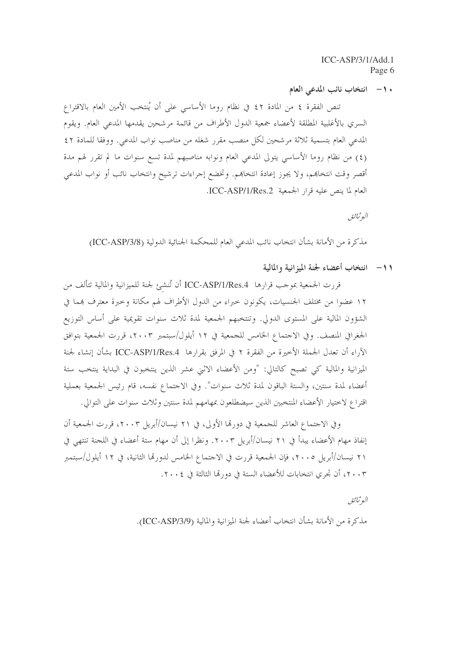. ١- انتخاب نائب المدعى العام

تنص الفقرة ٤ من المادة ٤٢ في نظام روما الأساسي على أن يُنتخب الأمين العام بالاقتراع السري بالأغلبية المطلقة لأعضاء جمعية الدول الأطراف من قائمة مرشحين يقدمها المدعى العام. ويقوم المدعى العام بتسمية ثلاثة مرشحين لكلِّ منصبٍ مقررٍ شغله من مناصبٍ نوابٍ المدعى. ووفقًا للمادة ٤٢ (٤) من نظام روما الأساسي يتولى المدعى العام ونوابه مناصبهم لمدة تسع سنوات ما لم تقرر لهم مدة أقصر وقت انتخاهم، ولا يجوز إعادة انتخاهم. وتخضع إجراءات ترشيح وانتخاب نائب أو نواب المدعى العام لما ينص عليه قرار الجمعية ICC-ASP/1/Res.2.

البوثياثق

مذكرة من الأمانة بشأن انتخاب نائب المدعى العام للمحكمة الجنائية الدولية (ICC-ASP/3/8)

١١- انتخاب أعضاء لجنة الميزانية والمالية

قررت الجمعية بموجب قرارها ICC-ASP/1/Res.4 أن تُنشئ لجنة للميزانية والمالية تتألف من ١٢ عضوا من مختلف الجنسيات، يكونون حبراء من الدول الأطراف لهم مكانة وحبرة معترف بمما في الشؤون المالية على المستوى الدولي. وتنتخبهم الجمعية لمدة ثلاث سنوات تقويمية على أساس التوزيع الجغرافي المنصف. وفي الاحتماع الخامس للجمعية في ١٢ أيلول/سبتمبر ٢٠٠٣، قررت الجمعية بتوافق الآراء أن تعدل الجملة الأخيرة من الفقرة ٢ في المرفق بقرارها ICC-ASP/1/Res.4 بشأن إنشاء لجنة الميزانية والمالية كي تصبح كالتالي: "ومن الأعضاء الاثني عشر الذين ينتخبون في البداية ينتخب ستة أعضاء لمدة سنتين، والستة الباقون لمدة ثلاث سنوات". وفي الاحتماع نفسه، قام رئيس الجمعية بعملية اقتراع لاختيار الأعضاء المنتخبين الذين سيضطلعون بمهامهم لمدة سنتين وثلاث سنوات على التوالي.

وفي الاحتماع العاشر للجمعية في دورتما الأولى، في ٢١ نيسان/أبريل ٢٠٠٣، قررت الجمعية أن إنفاذ مهام الأعضاء يبدأ في ٢١ نيسان/أبريل ٢٠٠٣. ونظرا إلى أن مهام ستة أعضاء في اللجنة تنتهي في ٢١ نيسان/أبريل ٢٠٠٥، فإن الجمعية قررت في الاحتماع الخامس لدورقما الثانية، في ١٢ أيلول/سبتمبر ٢٠٠٣، أن تجرى انتخابات للأعضاء الستة في دورتما الثالثة في ٢٠٠٤.

الوثائق

مذكرة من الأمانة بشأن انتخاب أعضاء لجنة الميزانية والمالية (ICC-ASP/3/9).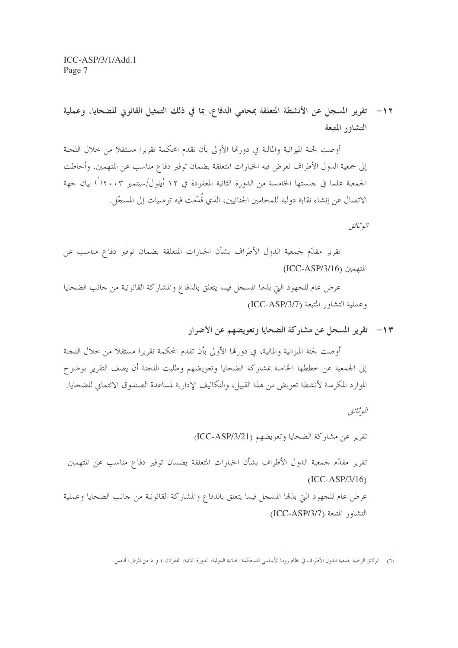١٢ – تقرير المسجل عن الأنشطة المتعلقة بمحامى الدفاع، بما في ذلك التمثيل القانوين للضحايا، وعملية التشاور المتبعة

أوصت لجنة الميزانية والمالية في دورقما الأولى بأن تقدم المحكمة تقريرا مستقلا من خلال اللحنة إلى جمعية الدول الأطراف تعرض فيه الخيارات المتعلقة بضمان توفير دفاع مناسب عن المتهمين. وأحاطت الجمعية علما في حلستها الخامسة من الدورة الثانية المعقودة في ١٢ أيلول/سبتمبر ٢٠٠٣ (أ) بيان جهة الاتصال عن إنشاء نقابة دولية للمحامين الجنائيين، الذي قُدَّمت فيه توصيات إلى المسجَّل.

البوثياثق

تقرير مقدَّم لجمعية الدول الأطراف بشأن الخيارات المتعلقة بضمان توفير دفاع مناسب عن  $(ICC-ASP/3/16)$  التهمين

عرض عام للجهود التي بذلها المسحل فيما يتعلق بالدفاع والمشاركة القانونية من حانب الضحايا وعملية التشاور المتبعة (ICC-ASP/3/7)

١٣ - تقرير المسجل عن مشاركة الضحايا وتعويضهم عن الأضرار

أوصت لجنة الميزانية والمالية، في دورتما الأولى بأن تقدم المحكمة تقريرا مستقلا من خلال اللجنة إلى الجمعية عن خططها الخاصة بمشاركة الضحايا وتعويضهم وطلبت اللجنة أن يصف التقرير بوضوح الموارد المكرسة لأنشطة تعويض من هذا القبيل، والتكاليف الإدارية لمساعدة الصندوق الائتماني للضحايا.

البوثيائق

تقرير عن مشاركة الضحايا وتعويضهم (ICC-ASP/3/21)

تقرير مقدّم لجمعية الدول الأطراف بشأن الخيارات المتعلقة بضمان توفير دفاع مناسب عن المتهمين  $(ICC-ASP/3/16)$ عرض عام للجهود التي بذلها المسجل فيما يتعلق بالدفاع والمشاركة القانونية من جانب الضحايا وعملية التشاور المتبعة (ICC-ASP/3/7)

<sup>(</sup>٦) الوثائق الرسمية لجمعية الدول الأطراف في نظام روما الأساسي للمحكمة الجنائية الدولية، الدورة الثانية، الفقرتان ٤ و ٥ من المرفق الخامس.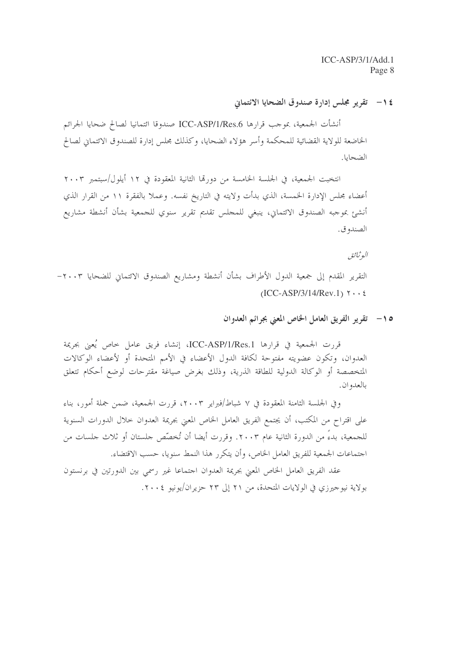1 / - تقرير مجلس إدارة صندوق الضحايا الائتماني

أنشأت الجمعية، بموجب قرارها ICC-ASP/1/Res.6 صندوقا ائتمانيا لصالح ضحايا الجرائم الخاضعة للولاية القضائية للمحكمة وأسر هؤلاء الضحايا، وكذلك مجلس إدارة للصندوق الائتماني لصالح الضحايا.

انتخبت الجمعية، في الجلسة الخامسة من دورتما الثانية المعقودة في ١٢ أيلول/سبتمبر ٢٠٠٣ أعضاء مجلس الإدارة الخمسة، الذي بدأت ولايته في التاريخ نفسه. وعملا بالفقرة ١١ من القرار الذي أنشئ بموجبه الصندوق الائتماني، ينبغي للمجلس تقديم تقرير سنوي للجمعية بشأن أنشطة مشاريع الصندو ق.

البوثيائق

التقرير المقدم إلى جمعية الدول الأطراف بشأن أنشطة ومشاريع الصندوق الائتماني للضحايا ٢٠٠٣- $(ICC-ASP/3/14/Rev.1)$   $\gamma \cdot \xi$ 

10 - تقرير الفريق العامل الخاص المعنى بجرائم العدوان

قررت الجمعية في قرارها ICC-ASP/1/Res.1، إنشاء فريق عامل حاص يُعني بجريمة العدوان، وتكون عضويته مفتوحة لكافة الدول الأعضاء في الأمم المتحدة أو لأعضاء الوكالات المتخصصة أو الوكالة الدولية للطاقة الذرية، وذلك بغرض صياغة مقترحات لوضع أحكام تتعلق بالعدوان.

وفي الجلسة الثامنة المعقودة في ٧ شباط/فبراير ٢٠٠٣، قررت الجمعية، ضمن جملة أمور، بناء على اقتراح من المكتب، أن يجتمع الفريق العامل الخاص المعنى بجريمة العدوان حلال الدورات السنوية للجمعية، بدءٌ من الدورة الثانية عام ٢٠٠٣. وقررت أيضا أن تُخصِّص جلستان أو ثلاث جلسات من اجتماعات الجمعية للفريق العامل الخاص، وأن يتكرر هذا النمط سنويا، حسب الاقتضاء.

عقد الفريق العامل الخاص المعنى بجريمة العدوان احتماعا غير رسمي بين الدورتين في برنستون بولاية نيوجيرزي في الولايات المتحدة، من ٢١ إلى ٢٣ حزيران/يونيو ٢٠٠٤.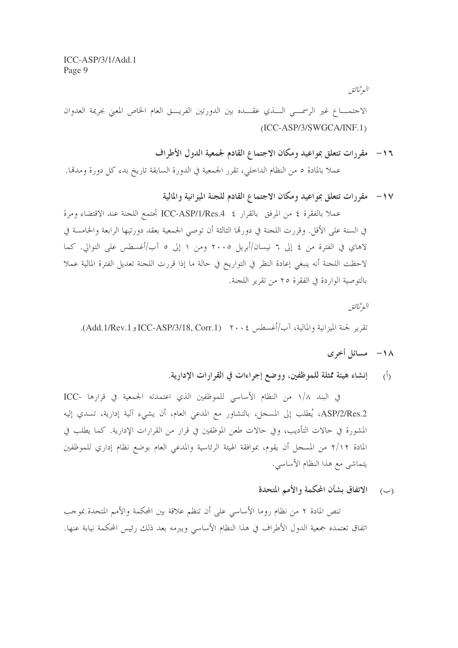البوثياثق

الاجتمـــاع غير الرسمـــي الـــذي عقـــده بين الدورتين الفريـــق العام الخاص المعنى بجريمة العدوان  $(ICC-ASP/3/SWGCA/INF.1)$ 

- ١٦- مقررات تتعلق بمواعيد ومكان الاجتماع القادم لجمعية الدول الأطراف عملا بالمادة ٥ من النظام الداخلي، تقرر الجمعية في الدورة السابقة تاريخ بدء كل دورة ومدقما.
	- ١٧- مقررات تتعلق بمواعيد ومكان الاجتماع القادم للجنة الميزانية والمالية

عملا بالفقرة ٤ من المرفق بالقرار ICC-ASP/1/Res.4 تجتمع اللجنة عند الاقتضاء ومرة في السنة على الأقل. وقررت اللجنة في دورها الثالثة أن توصى الجمعية بعقد دورتيها الرابعة والخامسة في لاهاي في الفترة من ٤ إلى ٦ نيسان/أبريل ٢٠٠٥ ومن ١ إلى ٥ آب/أغسطس على التوالي. كما لاحظت اللجنة أنه ينبغي إعادة النظر في التواريخ في حالة ما إذا قررت اللجنة تعديل الفترة المالية عملا بالتوصية الواردة في الفقرة ٢٥ من تقرير اللجنة.

البوثياثق تقرير لجنة الميزانية والمالية، آب/أغسطس ٢٠٠٤ (Add.1/Rev.1 وAdd.1/Rev.1).

- ١٨ مسائل أخرى
- رأ) إنشاء هيئة ممثلة للموظفين، ووضع إجراءات في القرارات الإدارية.

في البند ١/٨ من النظام الأساسي للموظفين الذي اعتمدته الجمعية في قرارها -ICC ASP/2/Res.2، يُطلب إلى المسحل، بالتشاور مع المدعى العام، أن يشيء آلية إدارية، تسدي إليه المشورة في حالات التأديب، وفي حالات طعن الموظفين في قرارٍ من القرارات الإدارية. كما يطلب في المادة ٢/١٢ من المسحل أن يقوم، بموافقة الهيئة الرئاسية والمدعي العام بوضع نظام إداري للموظفين يتماشى مع هذا النظام الأساسى.

(ب) الاتفاق بشأن المحكمة والأمم المتحدة

تنص المادة ٢ من نظام روما الأساسي على أن تنظم علاقة بين المحكمة والأمم المتحدة بموجب اتفاق تعتمده جمعية الدول الأطراف في هذا النظام الأساسي ويبرمه بعد ذلك رئيس المحكمة نيابة عنها.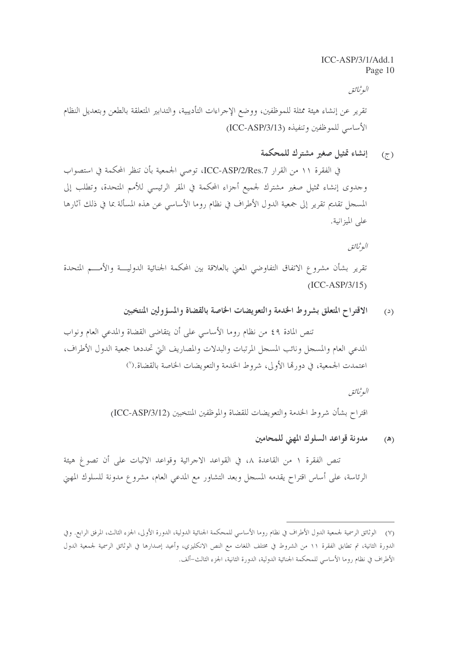البوثياثق

تقرير عن إنشاء هيئة ممثلة للموظفين، ووضع الإجراءات التأديبية، والتدابير المتعلقة بالطعن وبتعديل النظام الأساسي للموظفين وتنفيذه (ICC-ASP/3/13)

> إنشاء تمثيل صغير مشترك للمحكمة  $(\tau)$

في الفقرة ١١ من القرار ICC-ASP/2/Res.7، توصى الجمعية بأن تنظر المحكمة في استصواب وجدوى إنشاء تمثيل صغير مشترك لجميع أجزاء المحكمة في المقر الرئيسي للأمم المتحدة، وتطلب إلى المسجل تقديم تقرير إلى جمعية الدول الأطراف في نظام روما الأساسي عن هذه المسألة بما في ذلك آثارها على الميزانية.

البوثيائق

تقرير بشأن مشروع الاتفاق التفاوضي المعبى بالعلاقة بين المحكمة الجنائية الدوليــــة والأمــــم المتحدة  $(ICC-ASP/3/15)$ 

> الاقتراح المتعلق بشروط الخدمة والتعويضات الخاصة بالقضاة والمسؤولين المنتخبين  $\left( \omega \right)$

تنص المادة ٤٩ من نظام روما الأساسي على أن يتقاضى القضاة والمدعى العام ونواب المدعى العام والمسجل ونائب المسجل المرتبات والبدلات والمصاريف اليت تحددها جمعية الدول الأطراف، اعتمدت الجمعية، في دورةما الأولى، شروط الخدمة والتعويضات الخاصة بالقضاة.(<sup>٧</sup>)

> البوثيائق اقتراح بشأن شروط الخدمة والتعويضات للقضاة والموظفين المنتخبين (ICC-ASP/3/12)

> > مدونة قواعد السلوك المهنى للمحامين  $(\lambda)$

تنص الفقرة ١ من القاعدة ٨، في القواعد الاجرائية وقواعد الاثبات على أن تصوغ هيئة الرئاسة، على أساس اقتراح يقدمه المسجل وبعد التشاور مع المدعي العام، مشروع مدونة للسلوك المهيي

<sup>(</sup>٧) الوثائق الرسمية لجمعية الدول الأطراف في نظام روما الأساسي للمحكمة الجنائية الدولية، الدورة الأولى، الجزء الثالث، المرفق الرابع. وفي الدورة الثانية، تم تطابق الفقرة ١١ من الشروط في مختلف اللغات مع النص الانكليزي، وأعيد إصدارها في الوثائق الرسمية لجمعية الدول الأطراف في نظام روما الأساسي للمحكمة الجنائية الدولية، الدورة الثانية، الجزء الثالث-ألف.